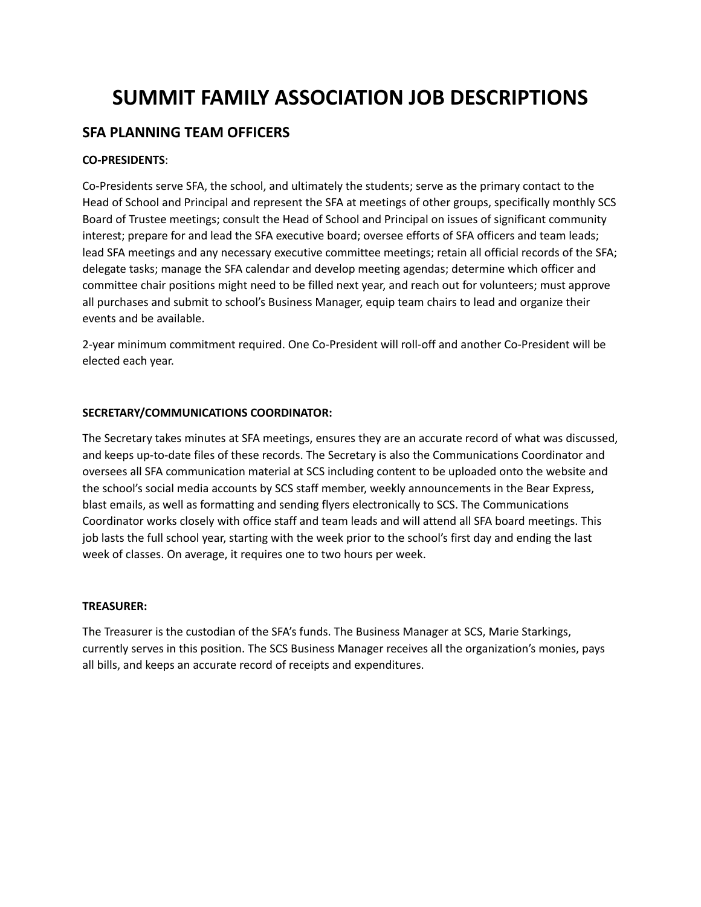# **SUMMIT FAMILY ASSOCIATION JOB DESCRIPTIONS**

# **SFA PLANNING TEAM OFFICERS**

## **CO-PRESIDENTS**:

Co-Presidents serve SFA, the school, and ultimately the students; serve as the primary contact to the Head of School and Principal and represent the SFA at meetings of other groups, specifically monthly SCS Board of Trustee meetings; consult the Head of School and Principal on issues of significant community interest; prepare for and lead the SFA executive board; oversee efforts of SFA officers and team leads; lead SFA meetings and any necessary executive committee meetings; retain all official records of the SFA; delegate tasks; manage the SFA calendar and develop meeting agendas; determine which officer and committee chair positions might need to be filled next year, and reach out for volunteers; must approve all purchases and submit to school's Business Manager, equip team chairs to lead and organize their events and be available.

2-year minimum commitment required. One Co-President will roll-off and another Co-President will be elected each year.

## **SECRETARY/COMMUNICATIONS COORDINATOR:**

The Secretary takes minutes at SFA meetings, ensures they are an accurate record of what was discussed, and keeps up-to-date files of these records. The Secretary is also the Communications Coordinator and oversees all SFA communication material at SCS including content to be uploaded onto the website and the school's social media accounts by SCS staff member, weekly announcements in the Bear Express, blast emails, as well as formatting and sending flyers electronically to SCS. The Communications Coordinator works closely with office staff and team leads and will attend all SFA board meetings. This job lasts the full school year, starting with the week prior to the school's first day and ending the last week of classes. On average, it requires one to two hours per week.

#### **TREASURER:**

The Treasurer is the custodian of the SFA's funds. The Business Manager at SCS, Marie Starkings, currently serves in this position. The SCS Business Manager receives all the organization's monies, pays all bills, and keeps an accurate record of receipts and expenditures.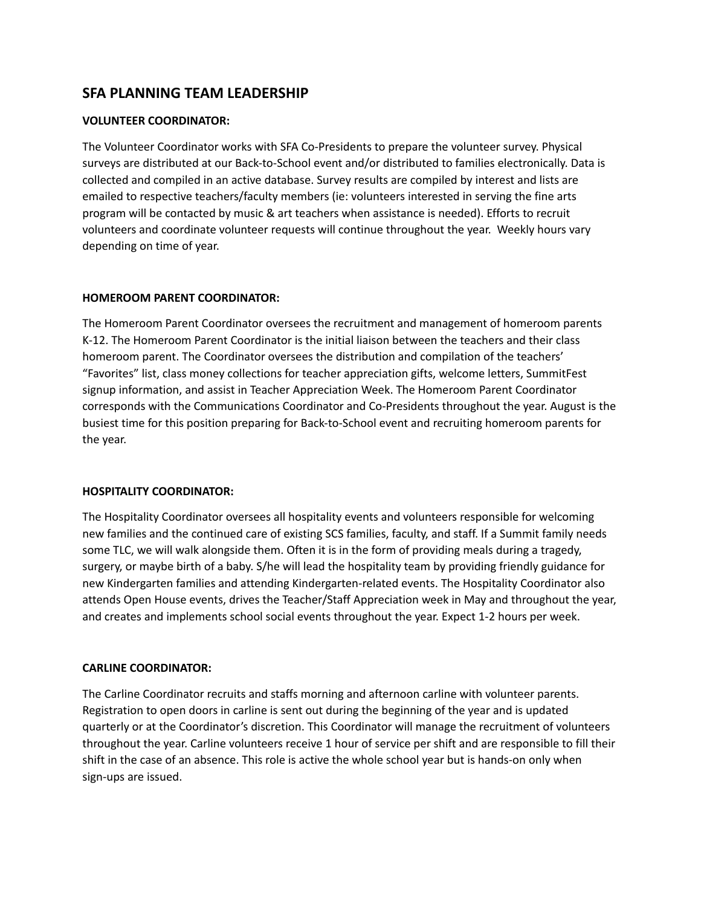## **SFA PLANNING TEAM LEADERSHIP**

#### **VOLUNTEER COORDINATOR:**

The Volunteer Coordinator works with SFA Co-Presidents to prepare the volunteer survey. Physical surveys are distributed at our Back-to-School event and/or distributed to families electronically. Data is collected and compiled in an active database. Survey results are compiled by interest and lists are emailed to respective teachers/faculty members (ie: volunteers interested in serving the fine arts program will be contacted by music & art teachers when assistance is needed). Efforts to recruit volunteers and coordinate volunteer requests will continue throughout the year. Weekly hours vary depending on time of year.

#### **HOMEROOM PARENT COORDINATOR:**

The Homeroom Parent Coordinator oversees the recruitment and management of homeroom parents K-12. The Homeroom Parent Coordinator is the initial liaison between the teachers and their class homeroom parent. The Coordinator oversees the distribution and compilation of the teachers' "Favorites" list, class money collections for teacher appreciation gifts, welcome letters, SummitFest signup information, and assist in Teacher Appreciation Week. The Homeroom Parent Coordinator corresponds with the Communications Coordinator and Co-Presidents throughout the year. August is the busiest time for this position preparing for Back-to-School event and recruiting homeroom parents for the year.

#### **HOSPITALITY COORDINATOR:**

The Hospitality Coordinator oversees all hospitality events and volunteers responsible for welcoming new families and the continued care of existing SCS families, faculty, and staff. If a Summit family needs some TLC, we will walk alongside them. Often it is in the form of providing meals during a tragedy, surgery, or maybe birth of a baby. S/he will lead the hospitality team by providing friendly guidance for new Kindergarten families and attending Kindergarten-related events. The Hospitality Coordinator also attends Open House events, drives the Teacher/Staff Appreciation week in May and throughout the year, and creates and implements school social events throughout the year. Expect 1-2 hours per week.

#### **CARLINE COORDINATOR:**

The Carline Coordinator recruits and staffs morning and afternoon carline with volunteer parents. Registration to open doors in carline is sent out during the beginning of the year and is updated quarterly or at the Coordinator's discretion. This Coordinator will manage the recruitment of volunteers throughout the year. Carline volunteers receive 1 hour of service per shift and are responsible to fill their shift in the case of an absence. This role is active the whole school year but is hands-on only when sign-ups are issued.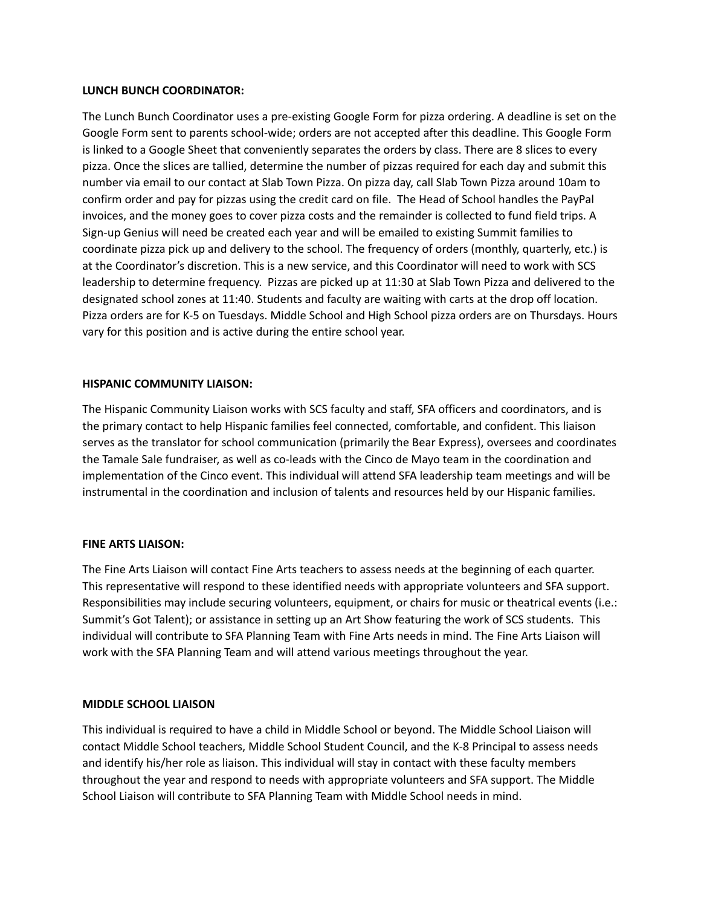#### **LUNCH BUNCH COORDINATOR:**

The Lunch Bunch Coordinator uses a pre-existing Google Form for pizza ordering. A deadline is set on the Google Form sent to parents school-wide; orders are not accepted after this deadline. This Google Form is linked to a Google Sheet that conveniently separates the orders by class. There are 8 slices to every pizza. Once the slices are tallied, determine the number of pizzas required for each day and submit this number via email to our contact at Slab Town Pizza. On pizza day, call Slab Town Pizza around 10am to confirm order and pay for pizzas using the credit card on file. The Head of School handles the PayPal invoices, and the money goes to cover pizza costs and the remainder is collected to fund field trips. A Sign-up Genius will need be created each year and will be emailed to existing Summit families to coordinate pizza pick up and delivery to the school. The frequency of orders (monthly, quarterly, etc.) is at the Coordinator's discretion. This is a new service, and this Coordinator will need to work with SCS leadership to determine frequency. Pizzas are picked up at 11:30 at Slab Town Pizza and delivered to the designated school zones at 11:40. Students and faculty are waiting with carts at the drop off location. Pizza orders are for K-5 on Tuesdays. Middle School and High School pizza orders are on Thursdays. Hours vary for this position and is active during the entire school year.

#### **HISPANIC COMMUNITY LIAISON:**

The Hispanic Community Liaison works with SCS faculty and staff, SFA officers and coordinators, and is the primary contact to help Hispanic families feel connected, comfortable, and confident. This liaison serves as the translator for school communication (primarily the Bear Express), oversees and coordinates the Tamale Sale fundraiser, as well as co-leads with the Cinco de Mayo team in the coordination and implementation of the Cinco event. This individual will attend SFA leadership team meetings and will be instrumental in the coordination and inclusion of talents and resources held by our Hispanic families.

#### **FINE ARTS LIAISON:**

The Fine Arts Liaison will contact Fine Arts teachers to assess needs at the beginning of each quarter. This representative will respond to these identified needs with appropriate volunteers and SFA support. Responsibilities may include securing volunteers, equipment, or chairs for music or theatrical events (i.e.: Summit's Got Talent); or assistance in setting up an Art Show featuring the work of SCS students. This individual will contribute to SFA Planning Team with Fine Arts needs in mind. The Fine Arts Liaison will work with the SFA Planning Team and will attend various meetings throughout the year.

#### **MIDDLE SCHOOL LIAISON**

This individual is required to have a child in Middle School or beyond. The Middle School Liaison will contact Middle School teachers, Middle School Student Council, and the K-8 Principal to assess needs and identify his/her role as liaison. This individual will stay in contact with these faculty members throughout the year and respond to needs with appropriate volunteers and SFA support. The Middle School Liaison will contribute to SFA Planning Team with Middle School needs in mind.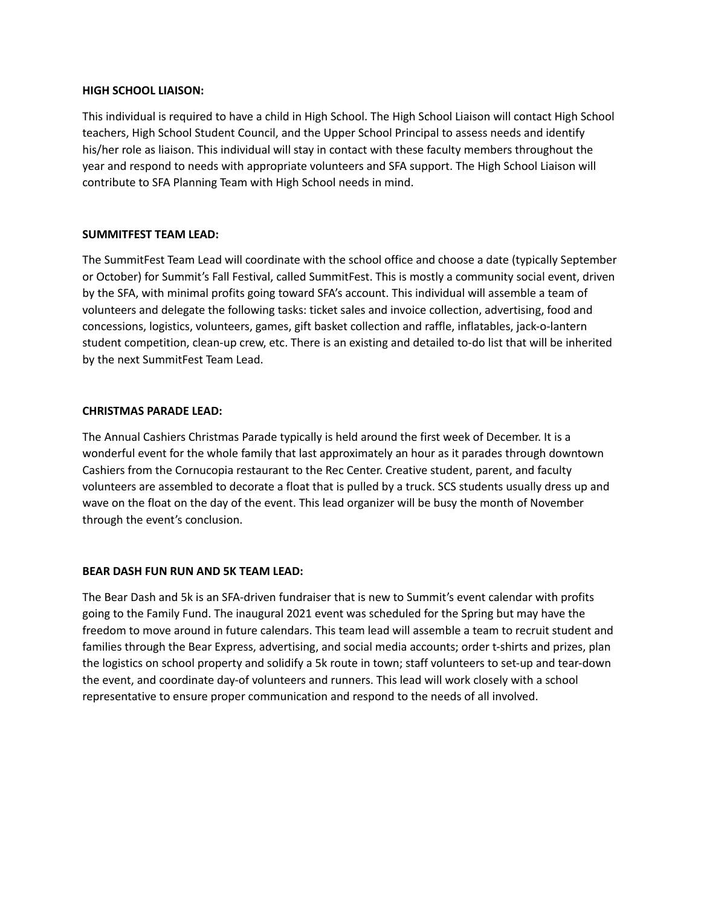#### **HIGH SCHOOL LIAISON:**

This individual is required to have a child in High School. The High School Liaison will contact High School teachers, High School Student Council, and the Upper School Principal to assess needs and identify his/her role as liaison. This individual will stay in contact with these faculty members throughout the year and respond to needs with appropriate volunteers and SFA support. The High School Liaison will contribute to SFA Planning Team with High School needs in mind.

#### **SUMMITFEST TEAM LEAD:**

The SummitFest Team Lead will coordinate with the school office and choose a date (typically September or October) for Summit's Fall Festival, called SummitFest. This is mostly a community social event, driven by the SFA, with minimal profits going toward SFA's account. This individual will assemble a team of volunteers and delegate the following tasks: ticket sales and invoice collection, advertising, food and concessions, logistics, volunteers, games, gift basket collection and raffle, inflatables, jack-o-lantern student competition, clean-up crew, etc. There is an existing and detailed to-do list that will be inherited by the next SummitFest Team Lead.

#### **CHRISTMAS PARADE LEAD:**

The Annual Cashiers Christmas Parade typically is held around the first week of December. It is a wonderful event for the whole family that last approximately an hour as it parades through downtown Cashiers from the Cornucopia restaurant to the Rec Center. Creative student, parent, and faculty volunteers are assembled to decorate a float that is pulled by a truck. SCS students usually dress up and wave on the float on the day of the event. This lead organizer will be busy the month of November through the event's conclusion.

#### **BEAR DASH FUN RUN AND 5K TEAM LEAD:**

The Bear Dash and 5k is an SFA-driven fundraiser that is new to Summit's event calendar with profits going to the Family Fund. The inaugural 2021 event was scheduled for the Spring but may have the freedom to move around in future calendars. This team lead will assemble a team to recruit student and families through the Bear Express, advertising, and social media accounts; order t-shirts and prizes, plan the logistics on school property and solidify a 5k route in town; staff volunteers to set-up and tear-down the event, and coordinate day-of volunteers and runners. This lead will work closely with a school representative to ensure proper communication and respond to the needs of all involved.